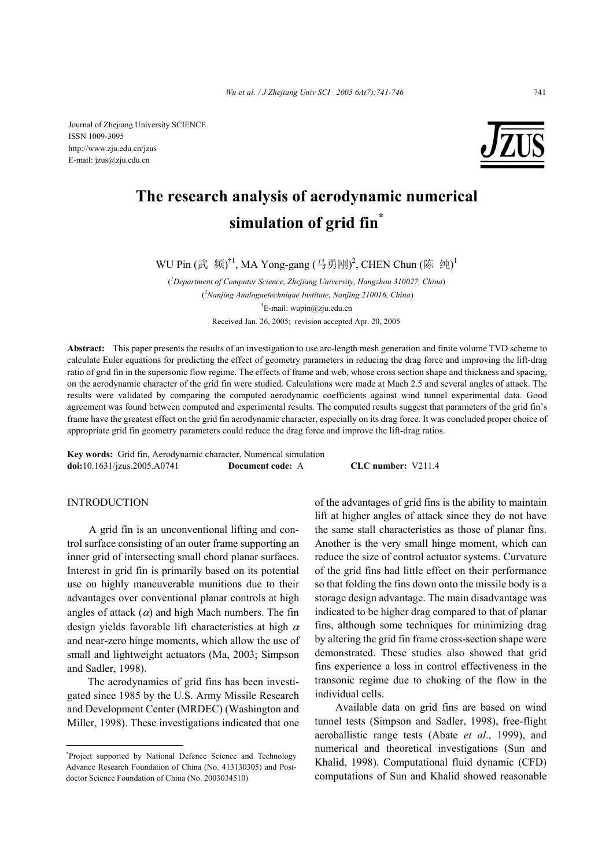Journal of Zhejiang University SCIENCE ISSN 1009-3095 http://www.zju.edu.cn/jzus E-mail: jzus@zju.edu.cn



# **The research analysis of aerodynamic numerical simulation of grid fin\***

WU Pin  $(\vec{\mathbb{R}}$  频 $)^{\dagger 1}$ , MA Yong-gang  $(\exists \vec{\mathbb{B}}$ 刚 $)^2$ , CHEN Chun  $(\mathbb{G}$  纯 $)^1$ 

( *1 Department of Computer Science, Zhejiang University, Hangzhou 310027, China*) ( *2 Nanjing Analoguetechnique Institute, Nanjing 210016, China*) † E-mail: wupin@zju.edu.cn Received Jan. 26, 2005; revision accepted Apr. 20, 2005

**Abstract:** This paper presents the results of an investigation to use arc-length mesh generation and finite volume TVD scheme to calculate Euler equations for predicting the effect of geometry parameters in reducing the drag force and improving the lift-drag ratio of grid fin in the supersonic flow regime. The effects of frame and web, whose cross section shape and thickness and spacing, on the aerodynamic character of the grid fin were studied. Calculations were made at Mach 2.5 and several angles of attack. The results were validated by comparing the computed aerodynamic coefficients against wind tunnel experimental data. Good agreement was found between computed and experimental results. The computed results suggest that parameters of the grid fin's frame have the greatest effect on the grid fin aerodynamic character, especially on its drag force. It was concluded proper choice of appropriate grid fin geometry parameters could reduce the drag force and improve the lift-drag ratios.

**Key words:** Grid fin, Aerodynamic character, Numerical simulation **doi:**10.1631/jzus.2005.A0741 **Document code:** A **CLC number:** V211.4

## **INTRODUCTION**

A grid fin is an unconventional lifting and control surface consisting of an outer frame supporting an inner grid of intersecting small chord planar surfaces. Interest in grid fin is primarily based on its potential use on highly maneuverable munitions due to their advantages over conventional planar controls at high angles of attack  $(\alpha)$  and high Mach numbers. The fin design yields favorable lift characteristics at high  $\alpha$ and near-zero hinge moments, which allow the use of small and lightweight actuators (Ma, 2003; Simpson and Sadler, 1998).

The aerodynamics of grid fins has been investigated since 1985 by the U.S. Army Missile Research and Development Center (MRDEC) (Washington and Miller, 1998). These investigations indicated that one of the advantages of grid fins is the ability to maintain lift at higher angles of attack since they do not have the same stall characteristics as those of planar fins. Another is the very small hinge moment, which can reduce the size of control actuator systems. Curvature of the grid fins had little effect on their performance so that folding the fins down onto the missile body is a storage design advantage. The main disadvantage was indicated to be higher drag compared to that of planar fins, although some techniques for minimizing drag by altering the grid fin frame cross-section shape were demonstrated. These studies also showed that grid fins experience a loss in control effectiveness in the transonic regime due to choking of the flow in the individual cells.

Available data on grid fins are based on wind tunnel tests (Simpson and Sadler, 1998), free-flight aeroballistic range tests (Abate *et al*., 1999), and numerical and theoretical investigations (Sun and Khalid, 1998). Computational fluid dynamic (CFD) computations of Sun and Khalid showed reasonable

<sup>\*</sup> Project supported by National Defence Science and Technology Advance Research Foundation of China (No. 413130305) and Postdoctor Science Foundation of China (No. 2003034510)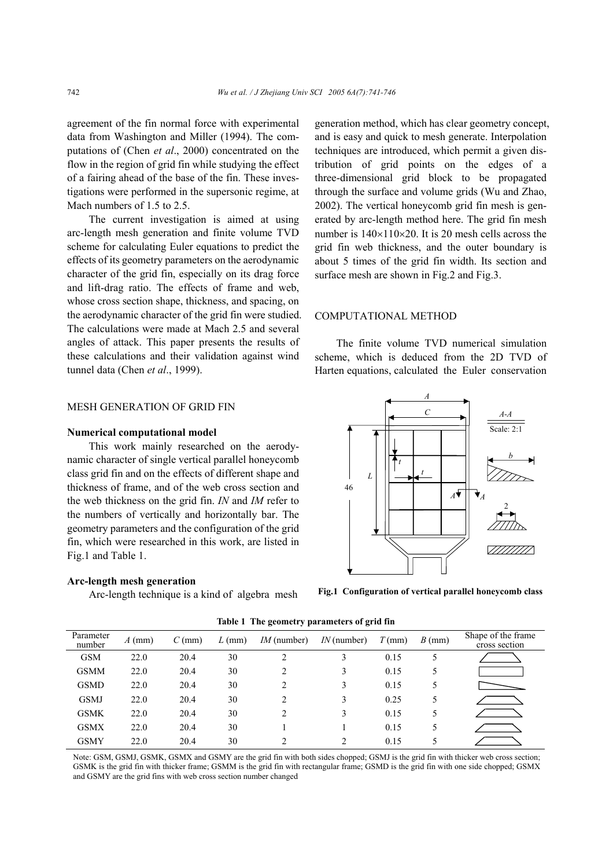agreement of the fin normal force with experimental data from Washington and Miller (1994). The computations of (Chen *et al*., 2000) concentrated on the flow in the region of grid fin while studying the effect of a fairing ahead of the base of the fin. These investigations were performed in the supersonic regime, at Mach numbers of 1.5 to 2.5.

The current investigation is aimed at using arc-length mesh generation and finite volume TVD scheme for calculating Euler equations to predict the effects of its geometry parameters on the aerodynamic character of the grid fin, especially on its drag force and lift-drag ratio. The effects of frame and web, whose cross section shape, thickness, and spacing, on the aerodynamic character of the grid fin were studied. The calculations were made at Mach 2.5 and several angles of attack. This paper presents the results of these calculations and their validation against wind tunnel data (Chen *et al*., 1999).

## MESH GENERATION OF GRID FIN

#### **Numerical computational model**

This work mainly researched on the aerodynamic character of single vertical parallel honeycomb class grid fin and on the effects of different shape and thickness of frame, and of the web cross section and the web thickness on the grid fin. *IN* and *IM* refer to the numbers of vertically and horizontally bar. The geometry parameters and the configuration of the grid fin, which were researched in this work, are listed in Fig.1 and Table 1.

#### **Arc-length mesh generation**

Arc-length technique is a kind of algebra mesh

generation method, which has clear geometry concept, and is easy and quick to mesh generate. Interpolation techniques are introduced, which permit a given distribution of grid points on the edges of a three-dimensional grid block to be propagated through the surface and volume grids (Wu and Zhao, 2002). The vertical honeycomb grid fin mesh is generated by arc-length method here. The grid fin mesh number is  $140\times110\times20$ . It is 20 mesh cells across the grid fin web thickness, and the outer boundary is about 5 times of the grid fin width. Its section and surface mesh are shown in Fig.2 and Fig.3.

#### COMPUTATIONAL METHOD

The finite volume TVD numerical simulation scheme, which is deduced from the 2D TVD of Harten equations, calculated the Euler conservation



**Fig.1 Configuration of vertical parallel honeycomb class**

| Parameter<br>number | $A$ (mm) | $C$ (mm) | $L$ (mm) | $IM$ (number)  | $IN$ (number) | $T$ (mm) | $B$ (mm) | Shape of the frame<br>cross section |  |
|---------------------|----------|----------|----------|----------------|---------------|----------|----------|-------------------------------------|--|
| <b>GSM</b>          | 22.0     | 20.4     | 30       | 2              | 3             | 0.15     |          |                                     |  |
| <b>GSMM</b>         | 22.0     | 20.4     | 30       | $\overline{2}$ | 3             | 0.15     | 5        |                                     |  |
| <b>GSMD</b>         | 22.0     | 20.4     | 30       | 2              | 3             | 0.15     | 5        |                                     |  |
| <b>GSMJ</b>         | 22.0     | 20.4     | 30       | 2              | 3             | 0.25     | 5        |                                     |  |
| <b>GSMK</b>         | 22.0     | 20.4     | 30       | $\overline{2}$ | 3             | 0.15     | 5        |                                     |  |
| <b>GSMX</b>         | 22.0     | 20.4     | 30       |                |               | 0.15     | 5        |                                     |  |
| GSMY                | 22.0     | 20.4     | 30       | C              | ◠             | 0.15     |          |                                     |  |

**Table 1 The geometry parameters of grid fin** 

Note: GSM, GSMJ, GSMK, GSMX and GSMY are the grid fin with both sides chopped; GSMJ is the grid fin with thicker web cross section; GSMK is the grid fin with thicker frame; GSMM is the grid fin with rectangular frame; GSMD is the grid fin with one side chopped; GSMX and GSMY are the grid fins with web cross section number changed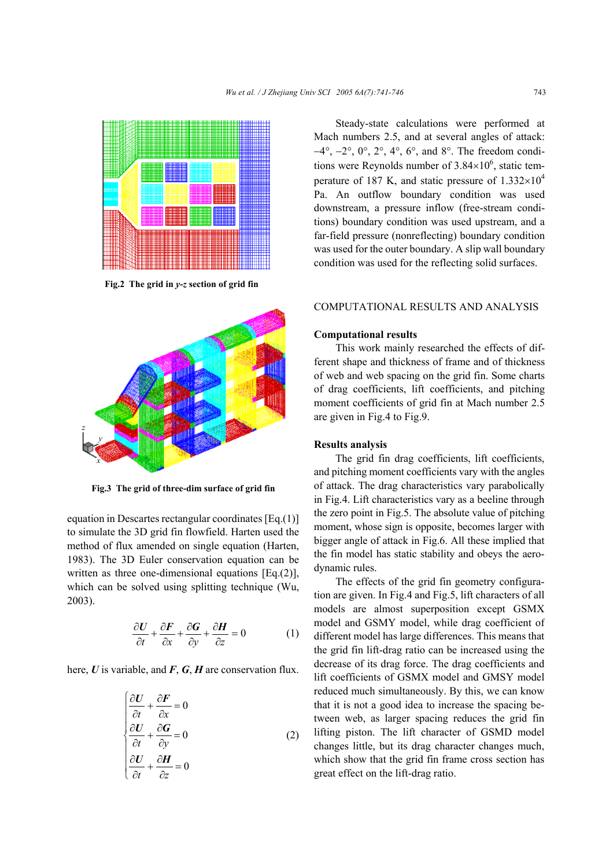

**Fig.2 The grid in** *y***-***z* **section of grid fin**



**Fig.3 The grid of three-dim surface of grid fin** 

equation in Descartes rectangular coordinates [Eq.(1)] to simulate the 3D grid fin flowfield. Harten used the method of flux amended on single equation (Harten, 1983). The 3D Euler conservation equation can be written as three one-dimensional equations [Eq.(2)], which can be solved using splitting technique (Wu, 2003).

$$
\frac{\partial U}{\partial t} + \frac{\partial F}{\partial x} + \frac{\partial G}{\partial y} + \frac{\partial H}{\partial z} = 0 \tag{1}
$$

here, *U* is variable, and *F*, *G*, *H* are conservation flux.

$$
\begin{cases}\n\frac{\partial U}{\partial t} + \frac{\partial F}{\partial x} = 0 \\
\frac{\partial U}{\partial t} + \frac{\partial G}{\partial y} = 0 \\
\frac{\partial U}{\partial t} + \frac{\partial H}{\partial z} = 0\n\end{cases}
$$
\n(2)

Steady-state calculations were performed at Mach numbers 2.5, and at several angles of attack: −4°, −2°, 0°, 2°, 4°, 6°, and 8°. The freedom conditions were Reynolds number of  $3.84 \times 10^6$ , static temperature of 187 K, and static pressure of  $1.332\times10^4$ Pa. An outflow boundary condition was used downstream, a pressure inflow (free-stream conditions) boundary condition was used upstream, and a far-field pressure (nonreflecting) boundary condition was used for the outer boundary. A slip wall boundary condition was used for the reflecting solid surfaces.

## COMPUTATIONAL RESULTS AND ANALYSIS

## **Computational results**

This work mainly researched the effects of different shape and thickness of frame and of thickness of web and web spacing on the grid fin. Some charts of drag coefficients, lift coefficients, and pitching moment coefficients of grid fin at Mach number 2.5 are given in Fig.4 to Fig.9.

#### **Results analysis**

The grid fin drag coefficients, lift coefficients, and pitching moment coefficients vary with the angles of attack. The drag characteristics vary parabolically in Fig.4. Lift characteristics vary as a beeline through the zero point in Fig.5. The absolute value of pitching moment, whose sign is opposite, becomes larger with bigger angle of attack in Fig.6. All these implied that the fin model has static stability and obeys the aerodynamic rules.

The effects of the grid fin geometry configuration are given. In Fig.4 and Fig.5, lift characters of all models are almost superposition except GSMX model and GSMY model, while drag coefficient of different model has large differences. This means that the grid fin lift-drag ratio can be increased using the decrease of its drag force. The drag coefficients and lift coefficients of GSMX model and GMSY model reduced much simultaneously. By this, we can know that it is not a good idea to increase the spacing between web, as larger spacing reduces the grid fin lifting piston. The lift character of GSMD model changes little, but its drag character changes much, which show that the grid fin frame cross section has great effect on the lift-drag ratio.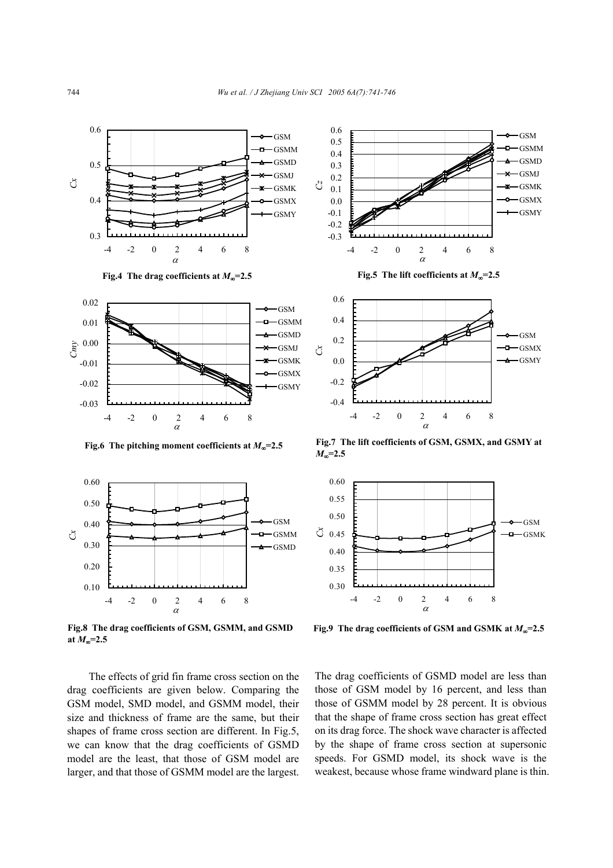

**Fig.4** The drag coefficients at  $M_{\infty}$ =2.5 **Fig.5** The lift coefficients at  $M_{\infty}$ =2.5





**Fig.8 The drag coefficients of GSM, GSMM, and GSMD at** *M*∞**=2.5**

The effects of grid fin frame cross section on the drag coefficients are given below. Comparing the GSM model, SMD model, and GSMM model, their size and thickness of frame are the same, but their shapes of frame cross section are different. In Fig.5, we can know that the drag coefficients of GSMD model are the least, that those of GSM model are larger, and that those of GSMM model are the largest.





**Fig.6 The pitching moment coefficients at** *M*∞**=2.5 Fig.7 The lift coefficients of GSM, GSMX, and GSMY at** *M*∞**=2.5**



**Fig.9 The drag coefficients of GSM and GSMK at** *M*∞**=2.5**

The drag coefficients of GSMD model are less than those of GSM model by 16 percent, and less than those of GSMM model by 28 percent. It is obvious that the shape of frame cross section has great effect on its drag force. The shock wave character is affected by the shape of frame cross section at supersonic speeds. For GSMD model, its shock wave is the weakest, because whose frame windward plane is thin.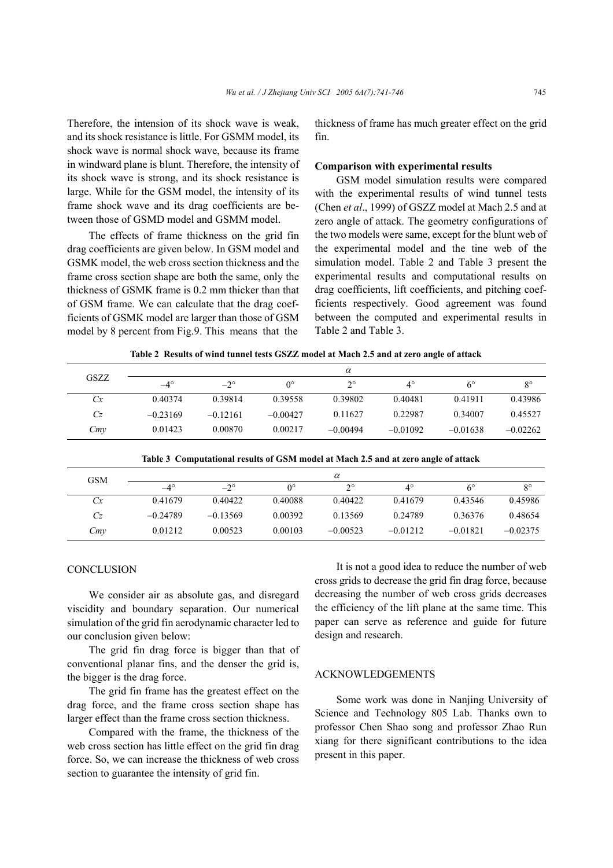Therefore, the intension of its shock wave is weak, and its shock resistance is little. For GSMM model, its shock wave is normal shock wave, because its frame in windward plane is blunt. Therefore, the intensity of its shock wave is strong, and its shock resistance is large. While for the GSM model, the intensity of its frame shock wave and its drag coefficients are between those of GSMD model and GSMM model.

The effects of frame thickness on the grid fin drag coefficients are given below. In GSM model and GSMK model, the web cross section thickness and the frame cross section shape are both the same, only the thickness of GSMK frame is 0.2 mm thicker than that of GSM frame. We can calculate that the drag coefficients of GSMK model are larger than those of GSM model by 8 percent from Fig.9. This means that the

thickness of frame has much greater effect on the grid fin.

## **Comparison with experimental results**

GSM model simulation results were compared with the experimental results of wind tunnel tests (Chen *et al*., 1999) of GSZZ model at Mach 2.5 and at zero angle of attack. The geometry configurations of the two models were same, except for the blunt web of the experimental model and the tine web of the simulation model. Table 2 and Table 3 present the experimental results and computational results on drag coefficients, lift coefficients, and pitching coefficients respectively. Good agreement was found between the computed and experimental results in Table 2 and Table 3.

|  |  | Table 2 Results of wind tunnel tests GSZZ model at Mach 2.5 and at zero angle of attack |
|--|--|-----------------------------------------------------------------------------------------|
|  |  |                                                                                         |

| GSZZ | $\alpha$     |              |             |            |            |            |             |  |  |
|------|--------------|--------------|-------------|------------|------------|------------|-------------|--|--|
|      | $-4^{\circ}$ | $-2^{\circ}$ | $0^{\circ}$ | $\gamma$   | 4°         | 6°         | $8^{\circ}$ |  |  |
| Cx   | 0.40374      | 0.39814      | 0.39558     | 0.39802    | 0.40481    | 0.41911    | 0.43986     |  |  |
| Cz   | $-0.23169$   | $-0.12161$   | $-0.00427$  | 0.11627    | 0.22987    | 0.34007    | 0.45527     |  |  |
| Cm   | 0.01423      | 0.00870      | 0.00217     | $-0.00494$ | $-0.01092$ | $-0.01638$ | $-0.02262$  |  |  |

**Table 3 Computational results of GSM model at Mach 2.5 and at zero angle of attack** 

| GSM | $\alpha$   |            |                  |             |             |            |             |  |  |
|-----|------------|------------|------------------|-------------|-------------|------------|-------------|--|--|
|     | $-4^\circ$ | $-2^\circ$ | $\Omega^{\circ}$ | $2^{\circ}$ | $4^{\circ}$ | 6°         | $8^{\circ}$ |  |  |
| Сx  | 0.41679    | 0.40422    | 0.40088          | 0.40422     | 0.41679     | 0.43546    | 0.45986     |  |  |
| Cz  | $-0.24789$ | $-0.13569$ | 0.00392          | 0.13569     | 0.24789     | 0.36376    | 0.48654     |  |  |
| Cmy | 0.01212    | 0.00523    | 0.00103          | $-0.00523$  | $-0.01212$  | $-0.01821$ | $-0.02375$  |  |  |

#### **CONCLUSION**

We consider air as absolute gas, and disregard viscidity and boundary separation. Our numerical simulation of the grid fin aerodynamic character led to our conclusion given below:

The grid fin drag force is bigger than that of conventional planar fins, and the denser the grid is, the bigger is the drag force.

The grid fin frame has the greatest effect on the drag force, and the frame cross section shape has larger effect than the frame cross section thickness.

Compared with the frame, the thickness of the web cross section has little effect on the grid fin drag force. So, we can increase the thickness of web cross section to guarantee the intensity of grid fin.

It is not a good idea to reduce the number of web cross grids to decrease the grid fin drag force, because decreasing the number of web cross grids decreases the efficiency of the lift plane at the same time. This paper can serve as reference and guide for future design and research.

#### ACKNOWLEDGEMENTS

Some work was done in Nanjing University of Science and Technology 805 Lab. Thanks own to professor Chen Shao song and professor Zhao Run xiang for there significant contributions to the idea present in this paper.